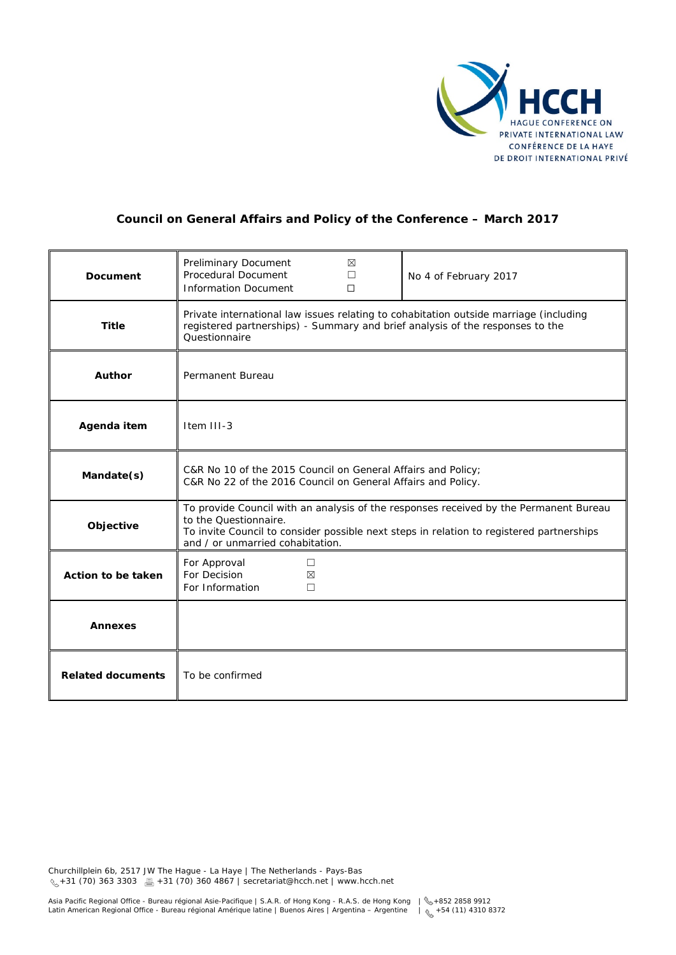

# **Council on General Affairs and Policy of the Conference – March 2017**

| Document                 | Preliminary Document<br>⊠<br>Procedural Document<br>П<br><b>Information Document</b><br>$\Box$                                                                                                                                                 | No 4 of February 2017 |
|--------------------------|------------------------------------------------------------------------------------------------------------------------------------------------------------------------------------------------------------------------------------------------|-----------------------|
| <b>Title</b>             | Private international law issues relating to cohabitation outside marriage (including<br>registered partnerships) - Summary and brief analysis of the responses to the<br>Ouestionnaire                                                        |                       |
| <b>Author</b>            | Permanent Bureau                                                                                                                                                                                                                               |                       |
| Agenda item              | Item III-3                                                                                                                                                                                                                                     |                       |
| Mandate(s)               | C&R No 10 of the 2015 Council on General Affairs and Policy;<br>C&R No 22 of the 2016 Council on General Affairs and Policy.                                                                                                                   |                       |
| Objective                | To provide Council with an analysis of the responses received by the Permanent Bureau<br>to the Questionnaire.<br>To invite Council to consider possible next steps in relation to registered partnerships<br>and / or unmarried cohabitation. |                       |
| Action to be taken       | For Approval<br>$\Box$<br>For Decision<br>⊠<br>For Information<br>$\Box$                                                                                                                                                                       |                       |
| <b>Annexes</b>           |                                                                                                                                                                                                                                                |                       |
| <b>Related documents</b> | To be confirmed                                                                                                                                                                                                                                |                       |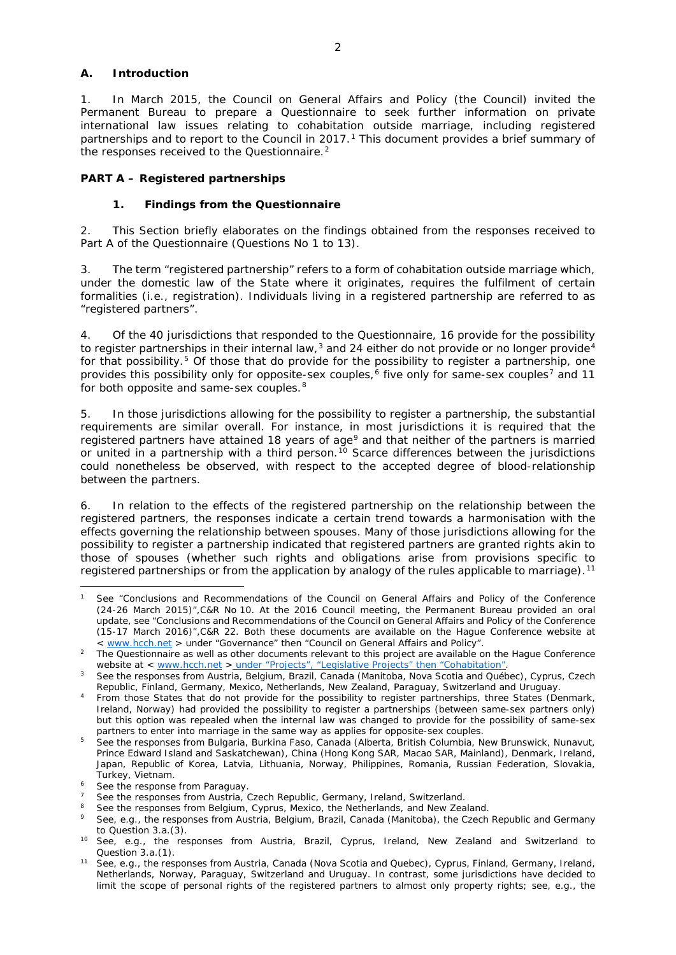#### **A. Introduction**

1. In March 2015, the Council on General Affairs and Policy (the Council) invited the Permanent Bureau to prepare a Questionnaire to seek further information on private international law issues relating to cohabitation outside marriage, including registered partnerships and to report to the Council in  $2017<sup>1</sup>$  $2017<sup>1</sup>$  $2017<sup>1</sup>$ . This document provides a brief summary of the responses received to the Questionnaire.<sup>[2](#page-1-1)</sup>

#### **PART A – Registered partnerships**

#### **1. Findings from the Questionnaire**

2. This Section briefly elaborates on the findings obtained from the responses received to Part A of the Questionnaire (Questions No 1 to 13).

3. The term "registered partnership" refers to a form of cohabitation outside marriage which, under the domestic law of the State where it originates, requires the fulfilment of certain formalities (*i.e.,* registration). Individuals living in a registered partnership are referred to as "registered partners".

4. Of the 40 jurisdictions that responded to the Questionnaire, 16 provide for the possibility to register partnerships in their internal law, $3$  and 2[4](#page-1-3) either do not provide or no longer provide<sup>4</sup> for that possibility.<sup>[5](#page-1-4)</sup> Of those that do provide for the possibility to register a partnership, one provides this possibility only for opposite-sex couples,<sup>[6](#page-1-5)</sup> five only for same-sex couples<sup>[7](#page-1-6)</sup> and 11 for both opposite and same-sex couples.<sup>[8](#page-1-7)</sup>

5. In those jurisdictions allowing for the possibility to register a partnership, the substantial requirements are similar overall. For instance, in most jurisdictions it is required that the registered partners have attained 18 years of age<sup>[9](#page-1-8)</sup> and that neither of the partners is married or united in a partnership with a third person.<sup>[10](#page-1-9)</sup> Scarce differences between the jurisdictions could nonetheless be observed, with respect to the accepted degree of blood-relationship between the partners.

6. In relation to the effects of the registered partnership on the relationship between the registered partners, the responses indicate a certain trend towards a harmonisation with the effects governing the relationship between spouses. Many of those jurisdictions allowing for the possibility to register a partnership indicated that registered partners are granted rights akin to those of spouses (whether such rights and obligations arise from provisions specific to registered partnerships or from the application by analogy of the rules applicable to marriage).[11](#page-1-10)

<span id="page-1-0"></span><sup>1</sup> See "Conclusions and Recommendations of the Council on General Affairs and Policy of the Conference (24-26 March 2015)",C&R No 10. At the 2016 Council meeting, the Permanent Bureau provided an oral update, see "Conclusions and Recommendations of the Council on General Affairs and Policy of the Conference (15-17 March 2016)", C&R 22. Both these documents are available on the Hague Conference website at  $\lt$  www.hcch.net > under "Governance" then "Council on General Affairs and Policy".

<span id="page-1-1"></span><sup>&</sup>lt;sup>2</sup> The Questionnaire as well as other documents relevant to this project are available on the Hague Conference website at < [www.hcch.net](http://www.hcch.net/) > under "Projects", "Legislative Projects" then "Cohabitation".

<span id="page-1-2"></span>See the responses from Austria, Belgium, Brazil, Canada (Manitoba, Nova Scotia and Québec), Cyprus, Czech Republic, Finland, Germany, Mexico, Netherlands, New Zealand, Paraguay, Switzerland and Uruguay.

<span id="page-1-3"></span><sup>4</sup> From those States that do not provide for the possibility to register partnerships, three States (Denmark, Ireland, Norway) had provided the possibility to register a partnerships (between same-sex partners only) but this option was repealed when the internal law was changed to provide for the possibility of same-sex

<span id="page-1-4"></span>partners to enter into marriage in the same way as applies for opposite-sex couples.<br><sup>5</sup> See the responses from Bulgaria, Burkina Faso, Canada (Alberta, British Columbia, New Brunswick, Nunavut, Prince Edward Island and Saskatchewan), China (Hong Kong SAR, Macao SAR, Mainland), Denmark, Ireland, Japan, Republic of Korea, Latvia, Lithuania, Norway, Philippines, Romania, Russian Federation, Slovakia,

<span id="page-1-6"></span>

<span id="page-1-5"></span>Turkey, Vietnam.<br>
<sup>6</sup> See the responses from Paraguay.<br>
<sup>7</sup> See the responses from Austria, Czech Republic, Germany, Ireland, Switzerland.<br>
<sup>8</sup> See the responses from Belgium, Cyprus, Mexico, the Netherlands, and New Zeala

<span id="page-1-8"></span><span id="page-1-7"></span><sup>&</sup>lt;sup>9</sup> See, *e.g.*, the responses from Austria, Belgium, Brazil, Canada (Manitoba), the Czech Republic and Germany to Question 3.a.(3).

<span id="page-1-9"></span><sup>10</sup> See, *e.g.*, the responses from Austria, Brazil, Cyprus, Ireland, New Zealand and Switzerland to Question 3.a.(1).

<span id="page-1-10"></span><sup>11</sup> See, *e.g.*, the responses from Austria, Canada (Nova Scotia and Quebec), Cyprus, Finland, Germany, Ireland, Netherlands, Norway, Paraguay, Switzerland and Uruguay. In contrast, some jurisdictions have decided to limit the scope of personal rights of the registered partners to almost only property rights; see, *e.g.*, the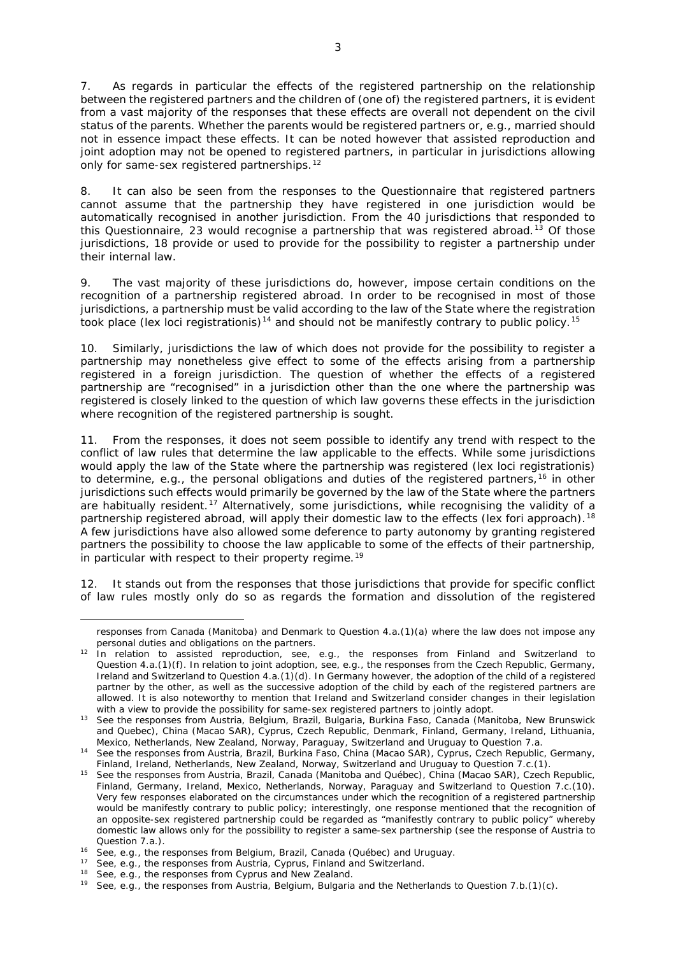7. As regards in particular the effects of the registered partnership on the relationship between the registered partners and the children of (one of) the registered partners, it is evident from a vast majority of the responses that these effects are overall not dependent on the civil status of the parents. Whether the parents would be registered partners or, *e.g.*, married should not in essence impact these effects. It can be noted however that assisted reproduction and joint adoption may not be opened to registered partners, in particular in jurisdictions allowing only for same-sex registered partnerships.<sup>[12](#page-2-0)</sup>

8. It can also be seen from the responses to the Questionnaire that registered partners cannot assume that the partnership they have registered in one jurisdiction would be automatically recognised in another jurisdiction. From the 40 jurisdictions that responded to this Questionnaire, 23 would recognise a partnership that was registered abroad.<sup>[13](#page-2-1)</sup> Of those jurisdictions, 18 provide or used to provide for the possibility to register a partnership under their internal law.

9. The vast majority of these jurisdictions do, however, impose certain conditions on the recognition of a partnership registered abroad. In order to be recognised in most of those jurisdictions, a partnership must be valid according to the law of the State where the registration took place (*lex loci registrationis*)<sup>[14](#page-2-2)</sup> and should not be manifestly contrary to public policy.<sup>[15](#page-2-3)</sup>

10. Similarly, jurisdictions the law of which does not provide for the possibility to register a partnership may nonetheless give effect to some of the effects arising from a partnership registered in a foreign jurisdiction. The question of whether the effects of a registered partnership are "recognised" in a jurisdiction other than the one where the partnership was registered is closely linked to the question of which law governs these effects in the jurisdiction where recognition of the registered partnership is sought.

11. From the responses, it does not seem possible to identify any trend with respect to the conflict of law rules that determine the law applicable to the effects. While some jurisdictions would apply the law of the State where the partnership was registered (*lex loci registrationis*) to determine, e.g., the personal obligations and duties of the registered partners,<sup>[16](#page-2-4)</sup> in other jurisdictions such effects would primarily be governed by the law of the State where the partners are habitually resident.[17](#page-2-5) Alternatively, some jurisdictions, while recognising the validity of a partnership registered abroad, will apply their domestic law to the effects (*lex fori* approach).[18](#page-2-6) A few jurisdictions have also allowed some deference to party autonomy by granting registered partners the possibility to choose the law applicable to some of the effects of their partnership, in particular with respect to their property regime.<sup>[19](#page-2-7)</sup>

12. It stands out from the responses that those jurisdictions that provide for specific conflict of law rules mostly only do so as regards the formation and dissolution of the registered

**.** 

responses from Canada (Manitoba) and Denmark to Question 4.a.(1)(a) where the law does not impose any personal duties and obligations on the partners.

<span id="page-2-0"></span><sup>12</sup> In relation to assisted reproduction, see, *e.g.*, the responses from Finland and Switzerland to Question 4.a.(1)(f). In relation to joint adoption, see, *e.g.*, the responses from the Czech Republic, Germany, Ireland and Switzerland to Question 4.a.(1)(d). In Germany however, the adoption of the child of a registered partner by the other, as well as the successive adoption of the child by each of the registered partners are allowed. It is also noteworthy to mention that Ireland and Switzerland consider changes in their legislation with a view to provide the possibility for same-sex registered partners to jointly adopt.

<span id="page-2-1"></span><sup>13</sup> See the responses from Austria, Belgium, Brazil, Bulgaria, Burkina Faso, Canada (Manitoba, New Brunswick and Quebec), China (Macao SAR), Cyprus, Czech Republic, Denmark, Finland, Germany, Ireland, Lithuania, Mexico, Netherlands, New Zealand, Norway, Paraguay, Switzerland and Uruguay to Question 7.a.

<span id="page-2-2"></span><sup>14</sup> See the responses from Austria, Brazil, Burkina Faso, China (Macao SAR), Cyprus, Czech Republic, Germany, Finland, Ireland, Netherlands, New Zealand, Norway, Switzerland and Uruguay to Question 7.c.(1).

<span id="page-2-3"></span><sup>15</sup> See the responses from Austria, Brazil, Canada (Manitoba and Québec), China (Macao SAR), Czech Republic, Finland, Germany, Ireland, Mexico, Netherlands, Norway, Paraguay and Switzerland to Question 7.c.(10). Very few responses elaborated on the circumstances under which the recognition of a registered partnership would be manifestly contrary to public policy; interestingly, one response mentioned that the recognition of an opposite-sex registered partnership could be regarded as "manifestly contrary to public policy" whereby domestic law allows only for the possibility to register a same-sex partnership (see the response of Austria to Question 7.a.).

<sup>16</sup> See, *e.g.*, the responses from Belgium, Brazil, Canada (Québec) and Uruguay.

<span id="page-2-6"></span><span id="page-2-5"></span><span id="page-2-4"></span><sup>17</sup> See, *e.g.*, the responses from Austria, Cyprus, Finland and Switzerland.

<sup>18</sup> See, *e.g.*, the responses from Cyprus and New Zealand.

<span id="page-2-7"></span><sup>19</sup> See, *e.g.*, the responses from Austria, Belgium, Bulgaria and the Netherlands to Question 7.b.(1)(c).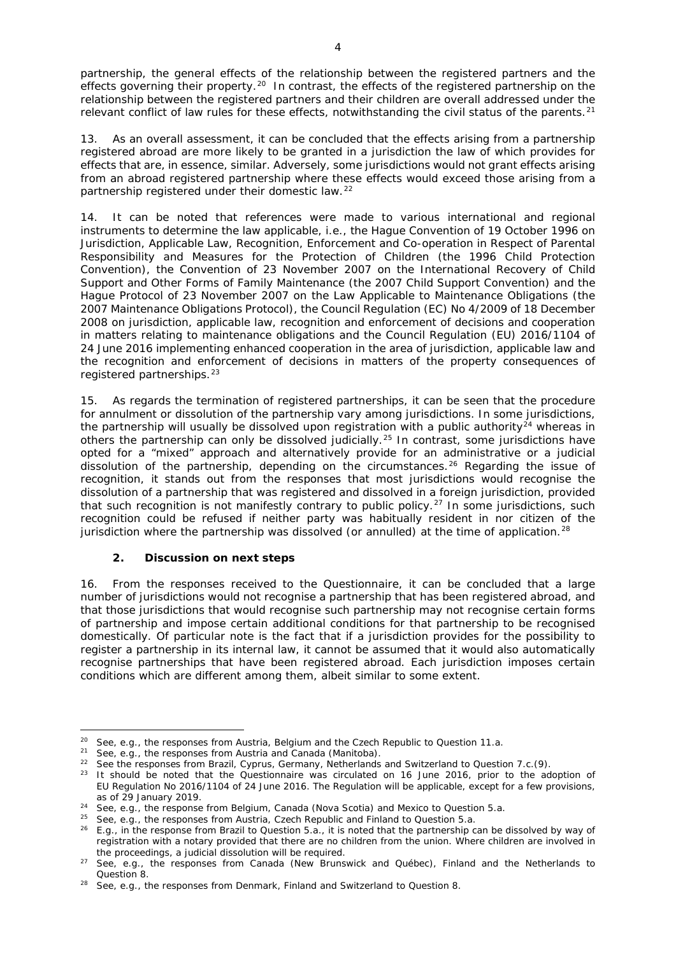partnership, the general effects of the relationship between the registered partners and the effects governing their property.<sup>[20](#page-3-0)</sup> In contrast, the effects of the registered partnership on the relationship between the registered partners and their children are overall addressed under the relevant conflict of law rules for these effects, notwithstanding the civil status of the parents.<sup>[21](#page-3-1)</sup>

13. As an overall assessment, it can be concluded that the effects arising from a partnership registered abroad are more likely to be granted in a jurisdiction the law of which provides for effects that are, in essence, similar. Adversely, some jurisdictions would not grant effects arising from an abroad registered partnership where these effects would exceed those arising from a partnership registered under their domestic law.<sup>[22](#page-3-2)</sup>

14. It can be noted that references were made to various international and regional instruments to determine the law applicable, *i.e.*, the *Hague Convention of 19 October 1996 on Jurisdiction, Applicable Law, Recognition, Enforcement and Co-operation in Respect of Parental Responsibility and Measures for the Protection of Children* (the 1996 Child Protection Convention), the *[Convention of 23 November 2007 on the International Recovery of Child](https://www.hcch.net/en/instruments/conventions/specialised-sections/child-support)  [Support and Other Forms of Family Maintenance](https://www.hcch.net/en/instruments/conventions/specialised-sections/child-support)* (the 2007 Child Support Convention) and the *Hague Protocol of 23 November 2007 on the Law Applicable to Maintenance Obligations* (the 2007 Maintenance Obligations Protocol), the Council Regulation (EC) No 4/2009 of 18 December 2008 on jurisdiction, applicable law, recognition and enforcement of decisions and cooperation in matters relating to maintenance obligations and the Council Regulation (EU) 2016/1104 of 24 June 2016 implementing enhanced cooperation in the area of jurisdiction, applicable law and the recognition and enforcement of decisions in matters of the property consequences of registered partnerships.<sup>[23](#page-3-3)</sup>

15. As regards the termination of registered partnerships, it can be seen that the procedure for annulment or dissolution of the partnership vary among jurisdictions. In some jurisdictions, the partnership will usually be dissolved upon registration with a public authority<sup>[24](#page-3-4)</sup> whereas in others the partnership can only be dissolved judicially.<sup>[25](#page-3-5)</sup> In contrast, some jurisdictions have opted for a "mixed" approach and alternatively provide for an administrative or a judicial dissolution of the partnership, depending on the circumstances.<sup>[26](#page-3-6)</sup> Regarding the issue of recognition, it stands out from the responses that most jurisdictions would recognise the dissolution of a partnership that was registered and dissolved in a foreign jurisdiction, provided that such recognition is not manifestly contrary to public policy.<sup>[27](#page-3-7)</sup> In some jurisdictions, such recognition could be refused if neither party was habitually resident in nor citizen of the jurisdiction where the partnership was dissolved (or annulled) at the time of application.<sup>[28](#page-3-8)</sup>

### **2. Discussion on next steps**

16. From the responses received to the Questionnaire, it can be concluded that a large number of jurisdictions would not recognise a partnership that has been registered abroad, and that those jurisdictions that would recognise such partnership may not recognise certain forms of partnership and impose certain additional conditions for that partnership to be recognised domestically. Of particular note is the fact that if a jurisdiction provides for the possibility to register a partnership in its internal law, it cannot be assumed that it would also automatically recognise partnerships that have been registered abroad. Each jurisdiction imposes certain conditions which are different among them, albeit similar to some extent.

**.** 

<span id="page-3-0"></span><sup>&</sup>lt;sup>20</sup> See, *e.g.*, the responses from Austria, Belgium and the Czech Republic to Question 11.a.

<span id="page-3-2"></span><span id="page-3-1"></span><sup>&</sup>lt;sup>21</sup> See,  $e.g.$ , the responses from Austria and Canada (Manitoba).<br><sup>22</sup> Soo the responses from Brazil, Cynrus, Cermany, Netherlands

<sup>22</sup> See the responses from Brazil, Cyprus, Germany, Netherlands and Switzerland to Question 7.c.(9).

<span id="page-3-3"></span><sup>&</sup>lt;sup>23</sup> It should be noted that the Questionnaire was circulated on 16 June 2016, prior to the adoption of EU Regulation No 2016/1104 of 24 June 2016. The Regulation will be applicable, except for a few provisions, as of 29 January 2019.

<span id="page-3-4"></span><sup>24</sup> See, *e.g.*, the response from Belgium, Canada (Nova Scotia) and Mexico to Question 5.a.

<span id="page-3-5"></span><sup>25</sup> See, *e.g.*, the responses from Austria, Czech Republic and Finland to Question 5.a.

<span id="page-3-6"></span><sup>&</sup>lt;sup>26</sup> *E.g.*, in the response from Brazil to Question 5.a., it is noted that the partnership can be dissolved by way of registration with a notary provided that there are no children from the union. Where children are involved in the proceedings, a judicial dissolution will be required.

<span id="page-3-7"></span><sup>27</sup> See, *e.g.*, the responses from Canada (New Brunswick and Québec), Finland and the Netherlands to Question 8.<br><sup>28</sup> See, *e.g.*, the responses from Denmark, Finland and Switzerland to Question 8.

<span id="page-3-8"></span>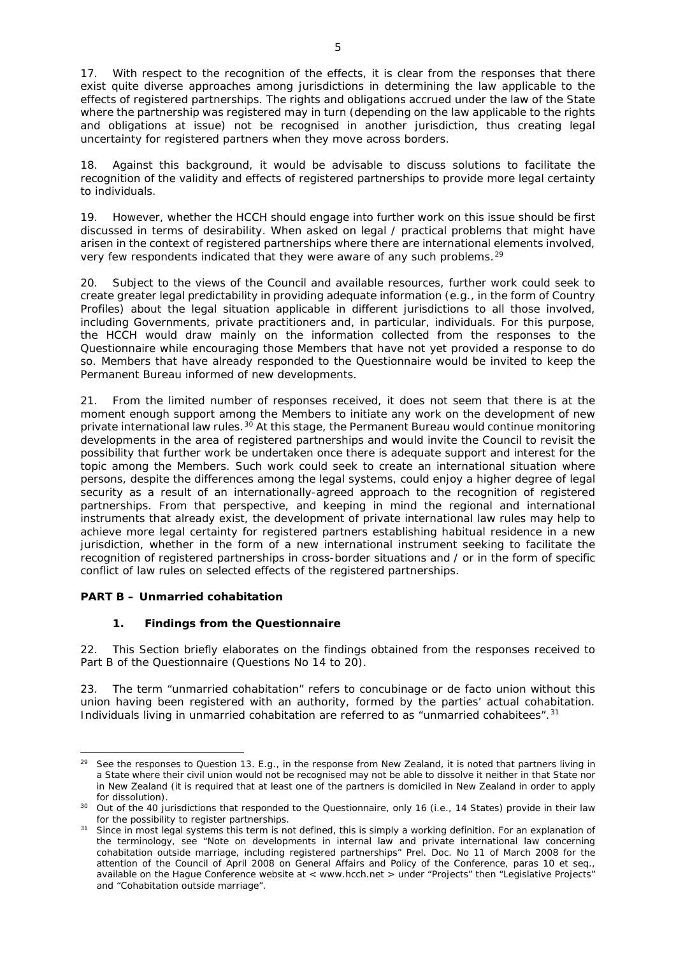where the partnership was registered may in turn (depending on the law applicable to the rights and obligations at issue) not be recognised in another jurisdiction, thus creating legal

uncertainty for registered partners when they move across borders.

18. Against this background, it would be advisable to discuss solutions to facilitate the recognition of the validity and effects of registered partnerships to provide more legal certainty to individuals.

19. However, whether the HCCH should engage into further work on this issue should be first discussed in terms of desirability. When asked on legal / practical problems that might have arisen in the context of registered partnerships where there are international elements involved, very few respondents indicated that they were aware of any such problems.<sup>[29](#page-4-0)</sup>

20. Subject to the views of the Council and available resources, further work could seek to create greater legal predictability in providing adequate information (*e.g.*, in the form of Country Profiles) about the legal situation applicable in different jurisdictions to all those involved, including Governments, private practitioners and, in particular, individuals. For this purpose, the HCCH would draw mainly on the information collected from the responses to the Questionnaire while encouraging those Members that have not yet provided a response to do so. Members that have already responded to the Questionnaire would be invited to keep the Permanent Bureau informed of new developments.

21. From the limited number of responses received, it does not seem that there is at the moment enough support among the Members to initiate any work on the development of new private international law rules.<sup>[30](#page-4-1)</sup> At this stage, the Permanent Bureau would continue monitoring developments in the area of registered partnerships and would invite the Council to revisit the possibility that further work be undertaken once there is adequate support and interest for the topic among the Members. Such work could seek to create an international situation where persons, despite the differences among the legal systems, could enjoy a higher degree of legal security as a result of an internationally-agreed approach to the recognition of registered partnerships. From that perspective, and keeping in mind the regional and international instruments that already exist, the development of private international law rules may help to achieve more legal certainty for registered partners establishing habitual residence in a new jurisdiction, whether in the form of a new international instrument seeking to facilitate the recognition of registered partnerships in cross-border situations and / or in the form of specific conflict of law rules on selected effects of the registered partnerships.

## **PART B – Unmarried cohabitation**

**.** 

## **1. Findings from the Questionnaire**

22. This Section briefly elaborates on the findings obtained from the responses received to Part B of the Questionnaire (Questions No 14 to 20).

23. The term "unmarried cohabitation" refers to *concubinage* or *de facto* union without this union having been registered with an authority, formed by the parties' actual cohabitation. Individuals living in unmarried cohabitation are referred to as "unmarried cohabitees".<sup>[31](#page-4-2)</sup>

<span id="page-4-0"></span><sup>29</sup> See the responses to Question 13. *E.g.*, in the response from New Zealand, it is noted that partners living in a State where their civil union would not be recognised may not be able to dissolve it neither in that State nor in New Zealand (it is required that at least one of the partners is domiciled in New Zealand in order to apply for dissolution).

<span id="page-4-1"></span><sup>30</sup> Out of the 40 jurisdictions that responded to the Questionnaire, only 16 (*i.e.*, 14 States) provide in their law for the possibility to register partnerships.

<span id="page-4-2"></span><sup>&</sup>lt;sup>31</sup> Since in most legal systems this term is not defined, this is simply a working definition. For an explanation of the terminology, see "Note on developments in internal law and private international law concerning cohabitation outside marriage, including registered partnerships" Prel. Doc. No 11 of March 2008 for the attention of the Council of April 2008 on General Affairs and Policy of the Conference, paras 10 *et seq*., available on the Hague Conference website at < www.hcch.net > under "Projects" then "Legislative Projects" and "Cohabitation outside marriage".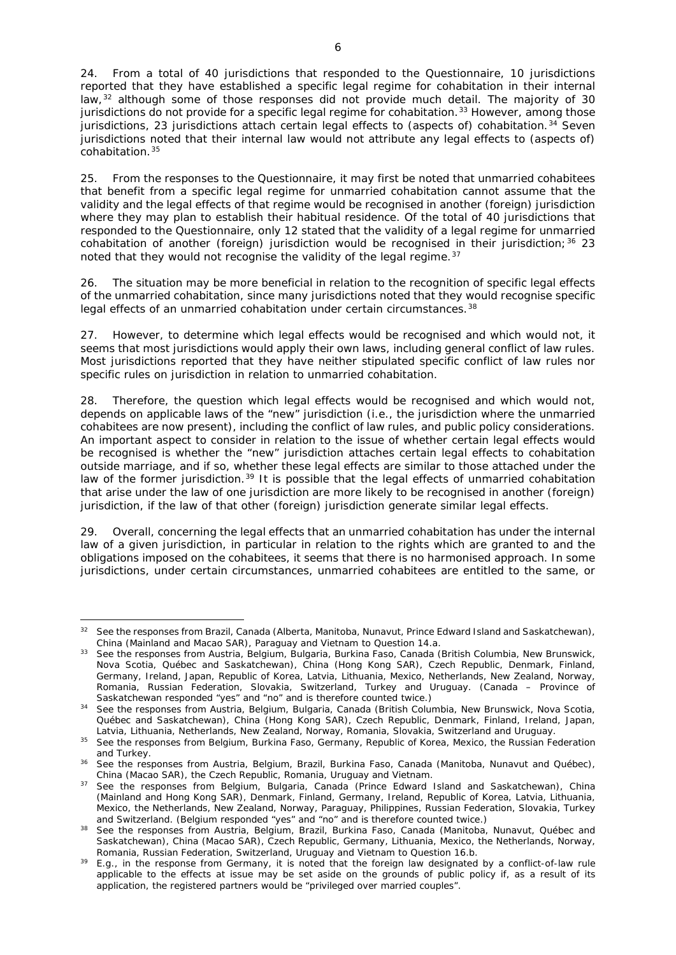24. From a total of 40 jurisdictions that responded to the Questionnaire, 10 jurisdictions reported that they have established a specific legal regime for cohabitation in their internal law,<sup>[32](#page-5-0)</sup> although some of those responses did not provide much detail. The majority of 30 jurisdictions do not provide for a specific legal regime for cohabitation.<sup>[33](#page-5-1)</sup> However, among those jurisdictions, 23 jurisdictions attach certain legal effects to (aspects of) cohabitation.<sup>[34](#page-5-2)</sup> Seven jurisdictions noted that their internal law would not attribute any legal effects to (aspects of) cohabitation.[35](#page-5-3)

25. From the responses to the Questionnaire, it may first be noted that unmarried cohabitees that benefit from a *specific legal regime* for unmarried cohabitation cannot assume that the validity and the legal effects of that regime would be recognised in another (foreign) jurisdiction where they may plan to establish their habitual residence. Of the total of 40 jurisdictions that responded to the Questionnaire, only 12 stated that the validity of a legal regime for unmarried cohabitation of another (foreign) jurisdiction would be recognised in their jurisdiction;  $36\,23$  $36\,23$ noted that they would not recognise the validity of the legal regime.  $37$ 

26. The situation may be more beneficial in relation to the recognition of *specific legal effects* of the unmarried cohabitation, since many jurisdictions noted that they would recognise specific legal effects of an unmarried cohabitation under certain circumstances.<sup>[38](#page-5-6)</sup>

27. However, to determine which legal effects would be recognised and which would not, it seems that most jurisdictions would apply their own laws, including general conflict of law rules. Most jurisdictions reported that they have neither stipulated specific conflict of law rules nor specific rules on jurisdiction in relation to unmarried cohabitation.

28. Therefore, the question which legal effects would be recognised and which would not, depends on applicable laws of the "new" jurisdiction (*i.e.*, the jurisdiction where the unmarried cohabitees are now present), including the conflict of law rules, and public policy considerations. An important aspect to consider in relation to the issue of whether certain legal effects would be recognised is whether the "new" jurisdiction attaches certain legal effects to cohabitation outside marriage, and if so, whether these legal effects are similar to those attached under the law of the former jurisdiction.<sup>[39](#page-5-7)</sup> It is possible that the legal effects of unmarried cohabitation that arise under the law of one jurisdiction are more likely to be recognised in another (foreign) jurisdiction, if the law of that other (foreign) jurisdiction generate similar legal effects.

29. Overall, concerning the legal effects that an unmarried cohabitation has under the internal law of a given jurisdiction, in particular in relation to the rights which are granted to and the obligations imposed on the cohabitees, it seems that there is no harmonised approach. In some jurisdictions, under certain circumstances, unmarried cohabitees are entitled to the same, or

**.** 

<span id="page-5-0"></span><sup>&</sup>lt;sup>32</sup> See the responses from Brazil, Canada (Alberta, Manitoba, Nunavut, Prince Edward Island and Saskatchewan), China (Mainland and Macao SAR), Paraguay and Vietnam to Question 14.a.

<span id="page-5-1"></span><sup>&</sup>lt;sup>33</sup> See the responses from Austria, Belgium, Bulgaria, Burkina Faso, Canada (British Columbia, New Brunswick, Nova Scotia, Québec and Saskatchewan), China (Hong Kong SAR), Czech Republic, Denmark, Finland, Germany, Ireland, Japan, Republic of Korea, Latvia, Lithuania, Mexico, Netherlands, New Zealand, Norway, Romania, Russian Federation, Slovakia, Switzerland, Turkey and Uruguay. (Canada – Province of Saskatchewan responded "yes" and "no" and is therefore counted twice.)

<span id="page-5-2"></span><sup>&</sup>lt;sup>34</sup> See the responses from Austria, Belgium, Bulgaria, Canada (British Columbia, New Brunswick, Nova Scotia, Québec and Saskatchewan), China (Hong Kong SAR), Czech Republic, Denmark, Finland, Ireland, Japan, Latvia, Lithuania, Netherlands, New Zealand, Norway, Romania, Slovakia, Switzerland and Uruguay.

<span id="page-5-3"></span><sup>&</sup>lt;sup>35</sup> See the responses from Belgium, Burkina Faso, Germany, Republic of Korea, Mexico, the Russian Federation and Turkey.

<span id="page-5-4"></span><sup>&</sup>lt;sup>36</sup> See the responses from Austria, Belgium, Brazil, Burkina Faso, Canada (Manitoba, Nunavut and Québec), China (Macao SAR), the Czech Republic, Romania, Uruguay and Vietnam.

<span id="page-5-5"></span><sup>&</sup>lt;sup>37</sup> See the responses from Belgium, Bulgaria, Canada (Prince Edward Island and Saskatchewan), China (Mainland and Hong Kong SAR), Denmark, Finland, Germany, Ireland, Republic of Korea, Latvia, Lithuania, Mexico, the Netherlands, New Zealand, Norway, Paraguay, Philippines, Russian Federation, Slovakia, Turkey and Switzerland. (Belgium responded "yes" and "no" and is therefore counted twice.)

<span id="page-5-6"></span><sup>38</sup> See the responses from Austria, Belgium, Brazil, Burkina Faso, Canada (Manitoba, Nunavut, Québec and Saskatchewan), China (Macao SAR), Czech Republic, Germany, Lithuania, Mexico, the Netherlands, Norway, Romania, Russian Federation, Switzerland, Uruguay and Vietnam to Question 16.b.

<span id="page-5-7"></span><sup>39</sup> *E.g.*, in the response from Germany, it is noted that the foreign law designated by a conflict-of-law rule applicable to the effects at issue may be set aside on the grounds of public policy if, as a result of its application, the registered partners would be "privileged over married couples".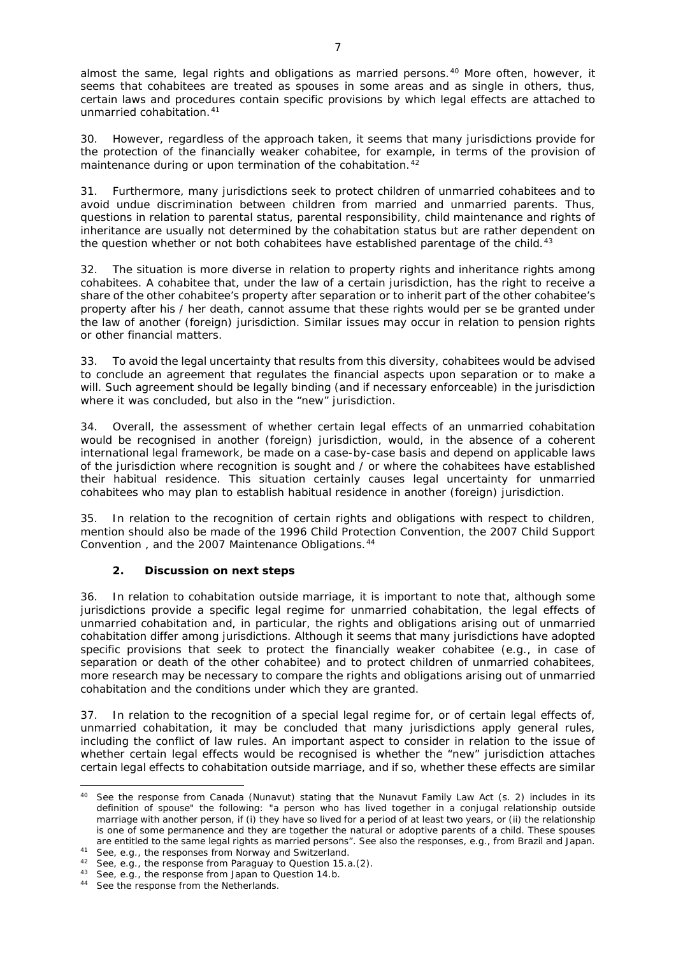almost the same, legal rights and obligations as married persons.<sup>[40](#page-6-0)</sup> More often, however, it seems that cohabitees are treated as spouses in some areas and as single in others, thus, certain laws and procedures contain specific provisions by which legal effects are attached to unmarried cohabitation.<sup>[41](#page-6-1)</sup>

30. However, regardless of the approach taken, it seems that many jurisdictions provide for the protection of the financially weaker cohabitee, for example, in terms of the provision of maintenance during or upon termination of the cohabitation.<sup>[42](#page-6-2)</sup>

31. Furthermore, many jurisdictions seek to protect children of unmarried cohabitees and to avoid undue discrimination between children from married and unmarried parents. Thus, questions in relation to parental status, parental responsibility, child maintenance and rights of inheritance are usually not determined by the cohabitation status but are rather dependent on the question whether or not both cohabitees have established parentage of the child.<sup>[43](#page-6-3)</sup>

32. The situation is more diverse in relation to property rights and inheritance rights among cohabitees. A cohabitee that, under the law of a certain jurisdiction, has the right to receive a share of the other cohabitee's property after separation or to inherit part of the other cohabitee's property after his / her death, cannot assume that these rights would *per se* be granted under the law of another (foreign) jurisdiction. Similar issues may occur in relation to pension rights or other financial matters.

33. To avoid the legal uncertainty that results from this diversity, cohabitees would be advised to conclude an agreement that regulates the financial aspects upon separation or to make a will. Such agreement should be legally binding (and if necessary enforceable) in the jurisdiction where it was concluded, but also in the "new" jurisdiction.

34. Overall, the assessment of whether certain legal effects of an unmarried cohabitation would be recognised in another (foreign) jurisdiction, would, in the absence of a coherent international legal framework, be made on a case-by-case basis and depend on applicable laws of the jurisdiction where recognition is sought and / or where the cohabitees have established their habitual residence. This situation certainly causes legal uncertainty for unmarried cohabitees who may plan to establish habitual residence in another (foreign) jurisdiction.

35. In relation to the recognition of certain rights and obligations with respect to children, mention should also be made of the 1996 Child Protection Convention, the 2007 Child Support [Convention ,](https://www.hcch.net/en/instruments/conventions/specialised-sections/child-support) and the 2007 Maintenance Obligations.[44](#page-6-4)

### **2. Discussion on next steps**

36. In relation to cohabitation outside marriage, it is important to note that, although some jurisdictions provide a specific legal regime for unmarried cohabitation, the legal effects of unmarried cohabitation and, in particular, the rights and obligations arising out of unmarried cohabitation differ among jurisdictions. Although it seems that many jurisdictions have adopted specific provisions that seek to protect the financially weaker cohabitee (*e.g.*, in case of separation or death of the other cohabitee) and to protect children of unmarried cohabitees, more research may be necessary to compare the rights and obligations arising out of unmarried cohabitation and the conditions under which they are granted.

37. In relation to the recognition of a special legal regime for, or of certain legal effects of, unmarried cohabitation, it may be concluded that many jurisdictions apply general rules, including the conflict of law rules. An important aspect to consider in relation to the issue of whether certain legal effects would be recognised is whether the "new" jurisdiction attaches certain legal effects to cohabitation outside marriage, and if so, whether these effects are similar

 $\overline{a}$ 

<span id="page-6-0"></span><sup>40</sup> See the response from Canada (Nunavut) stating that the Nunavut Family Law Act (s. 2) includes in its definition of spouse" the following: "a person who has lived together in a conjugal relationship outside marriage with another person, if (i) they have so lived for a period of at least two years, or (ii) the relationship is one of some permanence and they are together the natural or adoptive parents of a child. These spouses are entitled to the same legal rights as married persons". See also the responses, *e.g.*, from Brazil and Japan.<br><sup>41</sup> See, *e.g.*, the responses from Norway and Switzerland.

<span id="page-6-1"></span>

<span id="page-6-2"></span><sup>&</sup>lt;sup>42</sup> See, e.g., the response from Paraguay to Question 15.a.(2).

<span id="page-6-4"></span><span id="page-6-3"></span><sup>43</sup> See, *e.g.*, the response from Japan to Question 14.b.<br><sup>44</sup> See the response from the Netherlands.